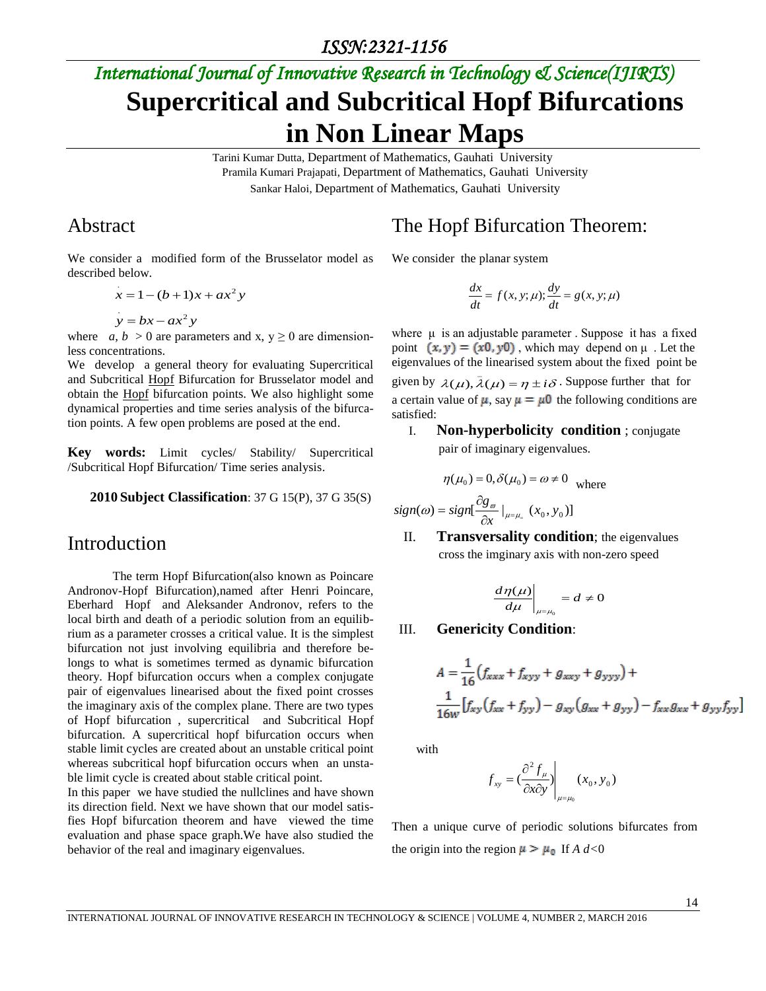# *International Journal of Innovative Research in Technology & Science(IJIRTS)* **Supercritical and Subcritical Hopf Bifurcations in Non Linear Maps**

Tarini Kumar Dutta, Department of Mathematics, Gauhati University Pramila Kumari Prajapati, Department of Mathematics, Gauhati University Sankar Haloi, Department of Mathematics, Gauhati University

satisfied:

## Abstract

We consider a modified form of the Brusselator model as described below.

$$
x = 1 - (b+1)x + ax2 y
$$
  

$$
y = bx - ax2 y
$$

where *a, b* > 0 are parameters and x,  $y \ge 0$  are dimensionless concentrations.

We develop a general theory for evaluating Supercritical and Subcritical Hopf Bifurcation for Brusselator model and obtain the Hopf bifurcation points. We also highlight some dynamical properties and time series analysis of the bifurcation points. A few open problems are posed at the end.

**Key words:** Limit cycles/ Stability/ Supercritical /Subcritical Hopf Bifurcation/ Time series analysis.

#### **2010 Subject Classification**: 37 G 15(P), 37 G 35(S)

### Introduction

The term Hopf Bifurcation(also known as Poincare Andronov-Hopf Bifurcation),named after Henri Poincare, Eberhard Hopf and Aleksander Andronov, refers to the local birth and death of a periodic solution from an equilibrium as a parameter crosses a critical value. It is the simplest bifurcation not just involving equilibria and therefore belongs to what is sometimes termed as dynamic bifurcation theory. Hopf bifurcation occurs when a complex conjugate pair of eigenvalues linearised about the fixed point crosses the imaginary axis of the complex plane. There are two types of Hopf bifurcation , supercritical and Subcritical Hopf bifurcation. A supercritical hopf bifurcation occurs when stable limit cycles are created about an unstable critical point whereas subcritical hopf bifurcation occurs when an unstable limit cycle is created about stable critical point.

In this paper we have studied the nullclines and have shown its direction field. Next we have shown that our model satisfies Hopf bifurcation theorem and have viewed the time evaluation and phase space graph.We have also studied the behavior of the real and imaginary eigenvalues.

## The Hopf Bifurcation Theorem:

We consider the planar system

$$
\frac{dx}{dt} = f(x, y; \mu); \frac{dy}{dt} = g(x, y; \mu)
$$

where  $\mu$  is an adjustable parameter. Suppose it has a fixed point  $(x, y) = (x0, y0)$ , which may depend on  $\mu$ . Let the eigenvalues of the linearised system about the fixed point be given by  $\lambda(\mu)$ ,  $\bar{\lambda}(\mu) = \eta \pm i\delta$ . Suppose further that for a certain value of  $\mu$ , say  $\mu = \mu$ 0 the following conditions are

I. **Non-hyperbolicity condition** ; conjugate pair of imaginary eigenvalues.

$$
\eta(\mu_0) = 0, \delta(\mu_0) = \omega \neq 0
$$
 where

$$
sign(\omega) = sign[\frac{\partial g_{\omega}}{\partial x}|_{\mu=\mu_{=}}(x_0, y_0)]
$$

II. **Transversality condition**; the eigenvalues cross the imginary axis with non-zero speed

$$
\left. \frac{d\eta(\mu)}{d\mu} \right|_{\mu=\mu_0} = d \neq 0
$$

#### III. **Genericity Condition**:

$$
A = \frac{1}{16} (f_{xxx} + f_{xyy} + g_{xxy} + g_{yyy}) +
$$
  

$$
\frac{1}{16w} [f_{xy} (f_{xx} + f_{yy}) - g_{xy} (g_{xx} + g_{yy}) - f_{xx} g_{xx} + g_{yy} f_{yy}]
$$

with

$$
f_{xy} = \left(\frac{\partial^2 f_{\mu}}{\partial x \partial y}\right)_{\mu = \mu_0} (x_0, y_0)
$$

Then a unique curve of periodic solutions bifurcates from the origin into the region  $\mu > \mu_0$  If *A d*<0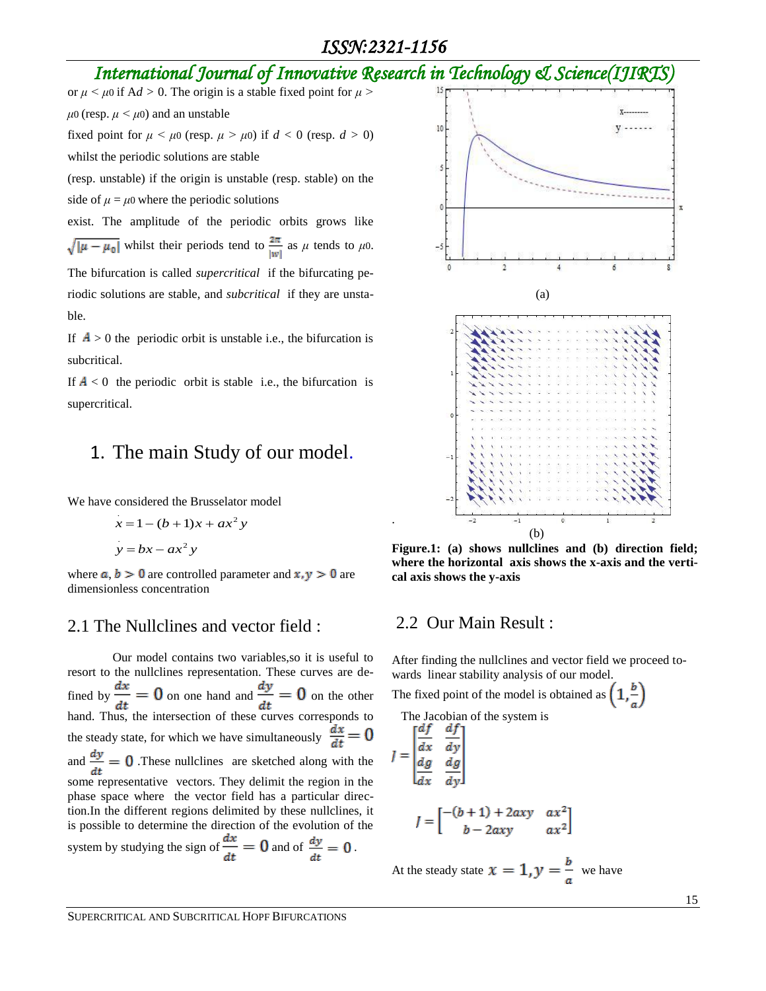## *International Journal of Innovative Research in Technology & Science(IJIRTS)*

.

or  $\mu < \mu$ 0 if A*d* > 0. The origin is a stable fixed point for  $\mu$  >  $\mu$ 0 (resp.  $\mu$  <  $\mu$ 0) and an unstable fixed point for  $\mu < \mu$ 0 (resp.  $\mu > \mu$ 0) if  $d < 0$  (resp.  $d > 0$ ) whilst the periodic solutions are stable

(resp. unstable) if the origin is unstable (resp. stable) on the side of  $\mu = \mu$ 0 where the periodic solutions

exist. The amplitude of the periodic orbits grows like  $\sqrt{|\mu - \mu_0|}$  whilst their periods tend to  $\frac{2\pi}{|w|}$  as  $\mu$  tends to  $\mu_0$ . The bifurcation is called *supercritical* if the bifurcating periodic solutions are stable, and *subcritical* if they are unstable.

If  $A > 0$  the periodic orbit is unstable i.e., the bifurcation is subcritical.

If  $A < 0$  the periodic orbit is stable i.e., the bifurcation is supercritical.

## 1. The main Study of our model.

We have considered the Brusselator model

$$
x = 1 - (b + 1)x + ax2 y
$$
  

$$
y = bx - ax2 y
$$

where  $a, b > 0$  are controlled parameter and  $x, y > 0$  are dimensionless concentration

### 2.1 The Nullclines and vector field :

Our model contains two variables,so it is useful to resort to the nullclines representation. These curves are defined by  $\frac{dx}{dt} = 0$  on one hand and  $\frac{dy}{dt} = 0$  on the other  $\frac{at}{\text{hand}}$ . Thus, the intersection of these curves corresponds to the steady state, for which we have simultaneously  $\frac{dx}{dt} = 0$ and  $\frac{dy}{dt} = 0$ . These nullclines are sketched along with the some representative vectors. They delimit the region in the phase space where the vector field has a particular direction.In the different regions delimited by these nullclines, it is possible to determine the direction of the evolution of the system by studying the sign of  $\frac{dx}{dt} = 0$  and of  $\frac{dy}{dt} = 0$ .



**Figure.1: (a) shows nullclines and (b) direction field; where the horizontal axis shows the x-axis and the vertical axis shows the y-axis**

#### 2.2 Our Main Result :

After finding the nullclines and vector field we proceed towards linear stability analysis of our model.

> $ax^2$  $ax^2$

The fixed point of the model is obtained as  $(1, \frac{b}{c})$ 

The Jacobian of the system is

$$
J = \begin{bmatrix} \frac{df}{dx} & \frac{df}{dy} \\ \frac{dg}{dx} & \frac{dg}{dy} \end{bmatrix}
$$

$$
J = \begin{bmatrix} -(b+1) + 2axy \\ b - 2axy \end{bmatrix}
$$

At the steady state  $x = 1, y = \frac{b}{a}$  we have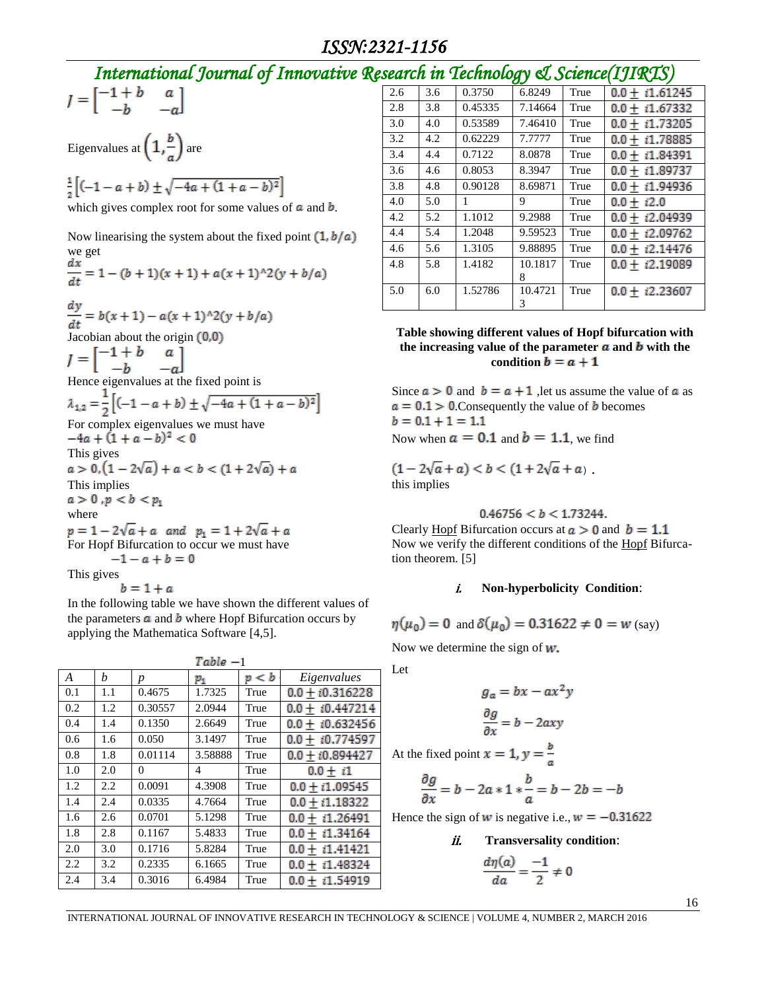## *International Journal of Innovative Research in Technology & Science(IJIRTS)*

$$
J = \begin{bmatrix} -1 + b & a \\ -b & -a \end{bmatrix}
$$

Eigenvalues at  $\left(1, \frac{b}{a}\right)$  are

 $\frac{1}{2} \left[ (-1-a+b) \pm \sqrt{-4a + (1+a-b)^2} \right]$ 

which gives complex root for some values of  $\boldsymbol{a}$  and  $\boldsymbol{b}$ .

Now linearising the system about the fixed point  $(1, b/a)$ we get<br>  $\frac{dx}{dt} = 1 - (b + 1)(x + 1) + a(x + 1)^{2}(y + b/a)$  $\frac{dy}{dt} = b(x+1) - a(x+1)^{3}(y+b/a)$ Jacobian about the origin  $(0,0)$  $I = \begin{bmatrix} -1 + b & a \\ -b & -a \end{bmatrix}$ <br>Hence eigenvalues at the fixed point is<br> $\lambda_{1,2} = \frac{1}{2} \left[ (-1 - a + b) \pm \sqrt{-4a + (1 + a - b)^2} \right]$ For complex eigenvalues we must have  $-4a + (1 + a - b)^2 < 0$ This gives<br>  $a > 0, (1 - 2\sqrt{a}) + a < b < (1 + 2\sqrt{a}) + a$ This implies  $a > 0, p < b < p_1$ where  $p = 1 - 2\sqrt{a} + a$  and  $p_1 = 1 + 2\sqrt{a} + a$ For Hopf Bifurcation to occur we must have  $-1 - a + b = 0$ This gives

 $b=1+a$ In the following table we have shown the different values of the parameters  $\boldsymbol{a}$  and  $\boldsymbol{b}$  where Hopf Bifurcation occurs by applying the Mathematica Software [4,5].

| $Table -1$       |     |                  |                  |      |                     |  |  |
|------------------|-----|------------------|------------------|------|---------------------|--|--|
| $\boldsymbol{A}$ | h   | $\boldsymbol{p}$ | p < b<br>$p_{1}$ |      | Eigenvalues         |  |  |
| 0.1              | 1.1 | 0.4675           | 1.7325           | True | $0.0 + i0.316228$   |  |  |
| 0.2              | 1.2 | 0.30557          | 2.0944           | True | $0.0 + i0.447214$   |  |  |
| 0.4              | 1.4 | 0.1350           | 2.6649           | True | $0.0 + i0.632456$   |  |  |
| 0.6              | 1.6 | 0.050            | 3.1497           | True | $0.0 + i0.774597$   |  |  |
| 0.8              | 1.8 | 0.01114          | 3.58888          | True | $0.0 + i0.894427$   |  |  |
| 1.0              | 2.0 | $\Omega$         | $\overline{4}$   | True | $0.0 + i1$          |  |  |
| 1.2              | 2.2 | 0.0091           | 4.3908           | True | $0.0 + i1.09545$    |  |  |
| 1.4              | 2.4 | 0.0335           | 4.7664           | True | $0.0 + i1.18322$    |  |  |
| 1.6              | 2.6 | 0.0701           | 5.1298           | True | $0.0 + i1.26491$    |  |  |
| 1.8              | 2.8 | 0.1167           | 5.4833           | True | $0.0 + i1.34164$    |  |  |
| 2.0              | 3.0 | 0.1716           | 5.8284           | True | $0.0 + i1.41421$    |  |  |
| 2.2              | 3.2 | 0.2335           | 6.1665           | True | $0.0 + i1.48324$    |  |  |
| 2.4              | 3.4 | 0.3016           | 6.4984           | True | i1.54919<br>$0.0 +$ |  |  |

|     |     | $\frac{1}{2}$ |              |      | 1 <del>-</del> السيد عرب |
|-----|-----|---------------|--------------|------|--------------------------|
| 2.6 | 3.6 | 0.3750        | 6.8249       | True | $0.0 + i1.61245$         |
| 2.8 | 3.8 | 0.45335       | 7.14664      | True | $0.0 + i1.67332$         |
| 3.0 | 4.0 | 0.53589       | 7.46410      | True | $0.0 + i1.73205$         |
| 3.2 | 4.2 | 0.62229       | 7.7777       | True | $0.0 + i1.78885$         |
| 3.4 | 4.4 | 0.7122        | 8.0878       | True | $0.0 + i1.84391$         |
| 3.6 | 4.6 | 0.8053        | 8.3947       | True | $0.0 + i1.89737$         |
| 3.8 | 4.8 | 0.90128       | 8.69871      | True | $0.0 + i1.94936$         |
| 4.0 | 5.0 | 1             | 9            | True | $0.0 + i2.0$             |
| 4.2 | 5.2 | 1.1012        | 9.2988       | True | $0.0 + i2.04939$         |
| 4.4 | 5.4 | 1.2048        | 9.59523      | True | $0.0 + i2.09762$         |
| 4.6 | 5.6 | 1.3105        | 9.88895      | True | $0.0 + i2.14476$         |
| 4.8 | 5.8 | 1.4182        | 10.1817      | True | $0.0 + i2.19089$         |
|     |     |               | 8            |      |                          |
| 5.0 | 6.0 | 1.52786       | 10.4721<br>3 | True | $0.0 + i2.23607$         |
|     |     |               |              |      |                          |

#### **Table showing different values of Hopf bifurcation with**  the increasing value of the parameter  $\boldsymbol{a}$  and  $\boldsymbol{b}$  with the condition  $\mathbf{b} = \mathbf{a} + \mathbf{1}$

Since  $a > 0$  and  $b = a + 1$ , let us assume the value of a as  $a = 0.1$  > 0. Consequently the value of **b** becomes  $b = 0.1 + 1 = 1.1$ Now when  $a = 0.1$  and  $b = 1.1$ , we find

 $(1-2\sqrt{a}+a) < b < (1+2\sqrt{a}+a)$ . this implies

$$
0.46756 < b < 1.73244.
$$

Clearly Hopf Bifurcation occurs at  $a > 0$  and  $b = 1.1$ Now we verify the different conditions of the Hopf Bifurcation theorem. [5]

#### i. **Non-hyperbolicity Condition**:

$$
\eta(\mu_0) = 0
$$
 and  $\delta(\mu_0) = 0.31622 \neq 0 = w$  (say)

Now we determine the sign of  $w$ .

Let

$$
g_a = bx - ax^2y
$$

$$
\frac{\partial g}{\partial x} = b - 2axy
$$

At the fixed point  $x = 1$ ,  $y = \frac{b}{a}$ 

$$
\frac{\partial g}{\partial x} = b - 2a \cdot 1 \cdot \frac{b}{a} = b - 2b = -b
$$

Hence the sign of w is negative i.e.,  $w = -0.31622$ 

*ii.* Transversality condition:  
\n
$$
\frac{d\eta(a)}{da} = \frac{-1}{2} \neq 0
$$

INTERNATIONAL JOURNAL OF INNOVATIVE RESEARCH IN TECHNOLOGY & SCIENCE | VOLUME 4, NUMBER 2, MARCH 2016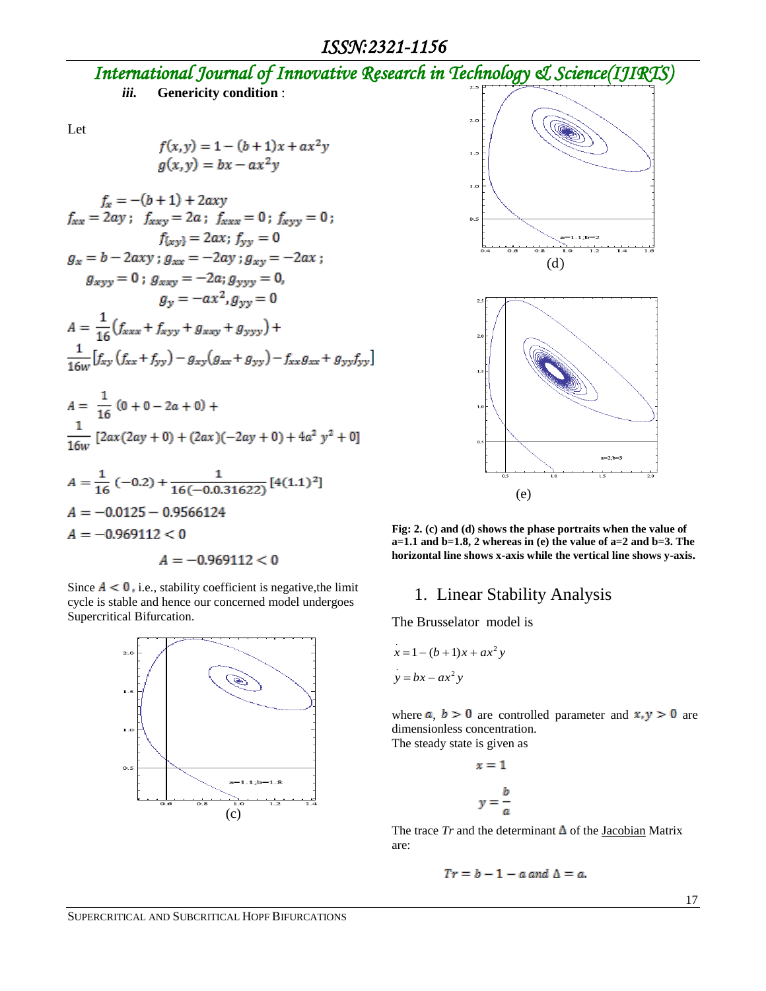## *International Journal of Innovative Research in Technology & Science(IJIRTS) iii.* **Genericity condition** :

Let

$$
f(x,y) = 1 - (b+1)x + ax2y
$$
  
 
$$
g(x,y) = bx - ax2y
$$

$$
f_x = -(b+1) + 2axy
$$
  
\n
$$
f_{xxx} = 2ay; f_{xxyy} = 2a; f_{xxx} = 0; f_{xyyy} = 0;
$$
  
\n
$$
f_{(xy)} = 2ax; f_{yy} = 0
$$
  
\n
$$
g_x = b - 2axy; g_{xxy} = -2ay; g_{xyy} = -2ax;
$$
  
\n
$$
g_{xyy} = 0; g_{xxy} = -2a; g_{yyy} = 0,
$$
  
\n
$$
g_y = -ax^2, g_{yy} = 0
$$
  
\n
$$
A = \frac{1}{16} (f_{xxx} + f_{xyy} + g_{xxxy} + g_{yyy}) + \frac{1}{16w} [f_{xy} (f_{xx} + f_{yy}) - g_{xy} (g_{xx} + g_{yy}) - f_{xx} g_{xx} + g_{yy} f_{yy}]
$$
  
\n
$$
A = \frac{1}{16} (0 + 0 - 2a + 0) + \frac{1}{16w} [2ax(2ay + 0) + (2ax)(-2ay + 0) + 4a^2 y^2 + 0]
$$
  
\n
$$
A = \frac{1}{16} (-0.2) + \frac{1}{16(-0.0.31622)} [4(1.1)^2]
$$
  
\n
$$
A = -0.0125 - 0.9566124
$$
  
\n
$$
A = -0.969112 < 0
$$

$$
A = -0.969112 < 0
$$

Since  $A < 0$ , i.e., stability coefficient is negative,the limit cycle is stable and hence our concerned model undergoes Supercritical Bifurcation.







**Fig: 2. (c) and (d) shows the phase portraits when the value of a=1.1 and b=1.8, 2 whereas in (e) the value of a=2 and b=3. The horizontal line shows x-axis while the vertical line shows y-axis.**

### 1. Linear Stability Analysis

 $\mathbf{y}$ 

The Brusselator model is

$$
x = 1 - (b+1)x + ax2 y
$$
  

$$
y = bx - ax2 y
$$

where  $a, b > 0$  are controlled parameter and  $x, y > 0$  are dimensionless concentration.

The steady state is given as

$$
x = 1
$$

$$
y = \frac{b}{a}
$$

The trace  $Tr$  and the determinant  $\Delta$  of the Jacobian Matrix are:

$$
Tr = b - 1 - a
$$
 and  $\Delta = a$ .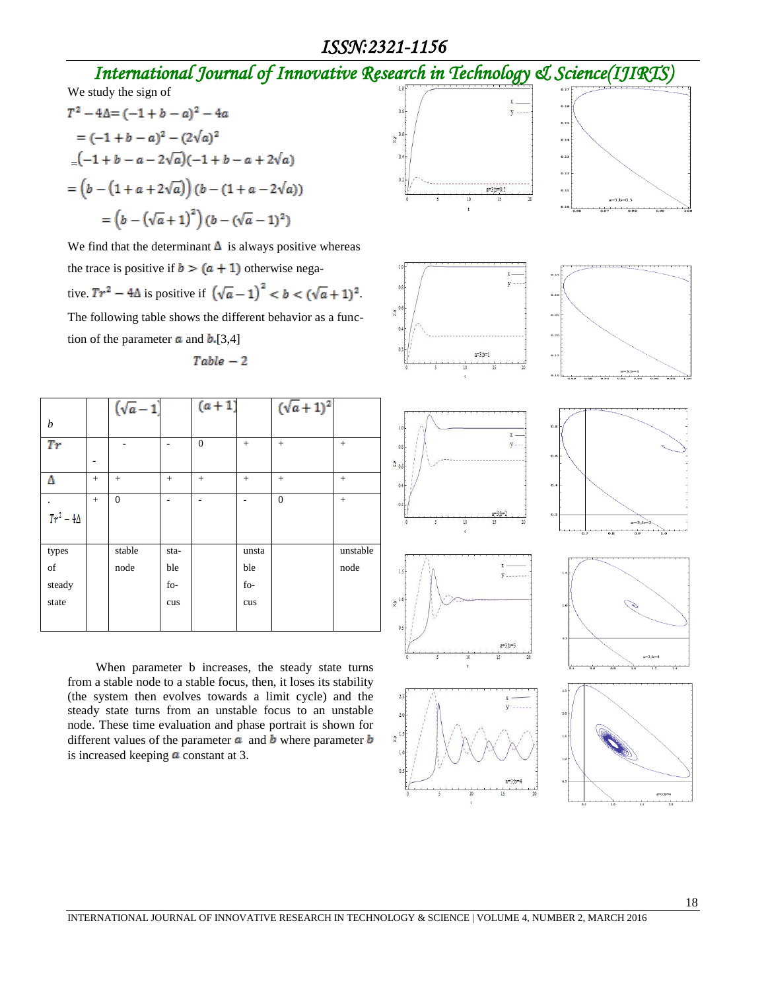## *ISSN:2321-1156*

## *International Journal of Innovative Research in Technology & Science(IJIRTS)*

We study the sign of

$$
T^{2} - 4\Delta = (-1 + b - a)^{2} - 4a
$$
  
= (-1 + b - a)^{2} - (2\sqrt{a})^{2}  
= (-1 + b - a - 2\sqrt{a})(-1 + b - a + 2\sqrt{a})  
= (b - (1 + a + 2\sqrt{a})) (b - (1 + a - 2\sqrt{a}))  
= (b - (\sqrt{a} + 1)^{2}) (b - (\sqrt{a} - 1)^{2})

We find that the determinant  $\Delta$  is always positive whereas the trace is positive if  $b > (a + 1)$  otherwise negative.  $Tr^2 - 4\Delta$  is positive if  $(\sqrt{a}-1)^2 < b < (\sqrt{a}+1)^2$ . The following table shows the different behavior as a function of the parameter  $\boldsymbol{a}$  and  $\boldsymbol{b}$ . [3,4]

$$
Table - 2
$$

|                |     | $(\sqrt{a}-1)$ |      | $(a + 1)$    |       | $(\sqrt{a}+1)^2$ |          |
|----------------|-----|----------------|------|--------------|-------|------------------|----------|
| b              |     |                |      |              |       |                  |          |
| Tr             |     |                |      | $\mathbf{0}$ | $+$   | $+$              | $+$      |
|                |     |                |      |              |       |                  |          |
| Δ              | $+$ | $+$            | $+$  | $+$          | $+$   | $+$              | $+$      |
|                | $+$ | $\overline{0}$ |      |              |       | $\Omega$         | $+$      |
| $Tr^2-4\Delta$ |     |                |      |              |       |                  |          |
|                |     |                |      |              |       |                  |          |
| types          |     | stable         | sta- |              | unsta |                  | unstable |
| of             |     | node           | ble  |              | ble   |                  | node     |
| steady         |     |                | fo-  |              | fo-   |                  |          |
| state          |     |                | cus  |              | cus   |                  |          |
|                |     |                |      |              |       |                  |          |

 When parameter b increases, the steady state turns from a stable node to a stable focus, then, it loses its stability (the system then evolves towards a limit cycle) and the steady state turns from an unstable focus to an unstable node. These time evaluation and phase portrait is shown for different values of the parameter  $\boldsymbol{a}$  and  $\boldsymbol{b}$  where parameter  $\boldsymbol{b}$ is increased keeping  $\alpha$  constant at 3.

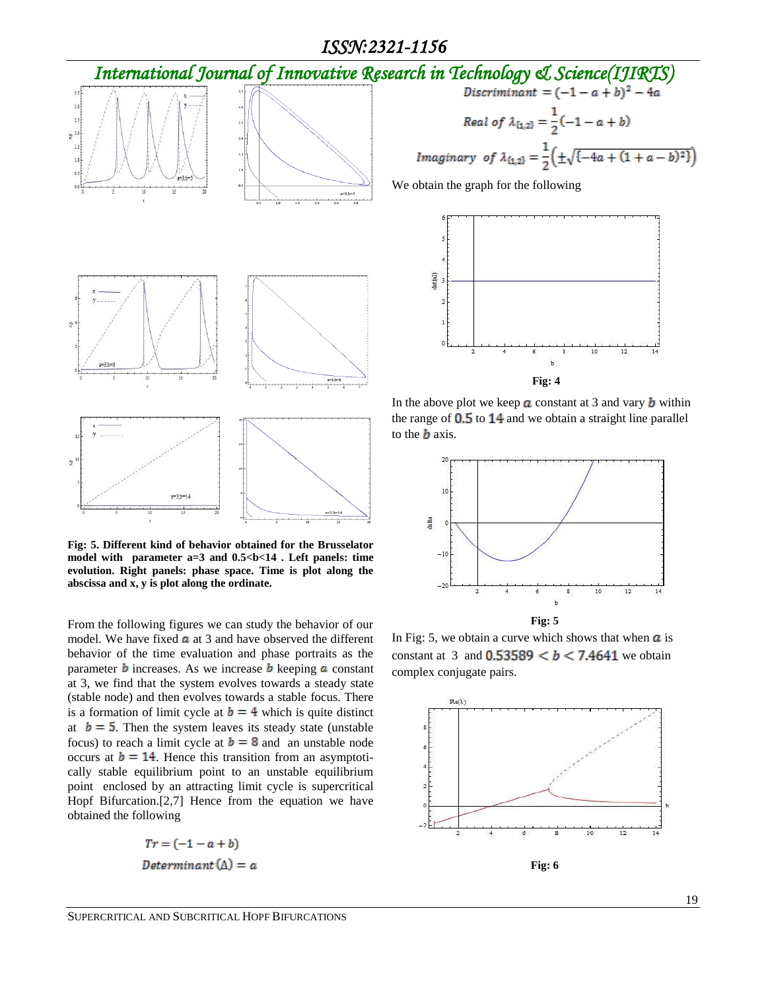### *ISSN:2321-1156*





**Fig: 5. Different kind of behavior obtained for the Brusselator**  model with parameter a=3 and  $0.5$  kb  $14$ . Left panels: time **evolution. Right panels: phase space. Time is plot along the abscissa and x, y is plot along the ordinate.** 

From the following figures we can study the behavior of our model. We have fixed  $\alpha$  at 3 and have observed the different behavior of the time evaluation and phase portraits as the parameter **b** increases. As we increase **b** keeping **a** constant at 3, we find that the system evolves towards a steady state (stable node) and then evolves towards a stable focus. There is a formation of limit cycle at  $\mathbf{b} = 4$  which is quite distinct at  $\mathbf{b} = 5$ . Then the system leaves its steady state (unstable focus) to reach a limit cycle at  $\mathbf{b} = 8$  and an unstable node occurs at  $b = 14$ . Hence this transition from an asymptotically stable equilibrium point to an unstable equilibrium point enclosed by an attracting limit cycle is supercritical Hopf Bifurcation.[2,7] Hence from the equation we have obtained the following

> $Tr = (-1 - a + b)$  $Determinant(\Delta) = a$

$$
Discriminant = (-1 - a + b)^2 - 4a
$$
  
Real of  $\lambda_{\{1,2\}} = \frac{1}{2}(-1 - a + b)$   
Imaginary of  $\lambda_{\{1,2\}} = \frac{1}{2}(\pm\sqrt{-4a + (1 + a - b)^2})$ 

We obtain the graph for the following



In the above plot we keep  $\alpha$  constant at 3 and vary  $\boldsymbol{b}$  within the range of  $0.5$  to  $14$  and we obtain a straight line parallel to the  $\boldsymbol{b}$  axis.



In Fig: 5, we obtain a curve which shows that when  $\alpha$  is constant at 3 and  $0.53589 < b < 7.4641$  we obtain complex conjugate pairs.